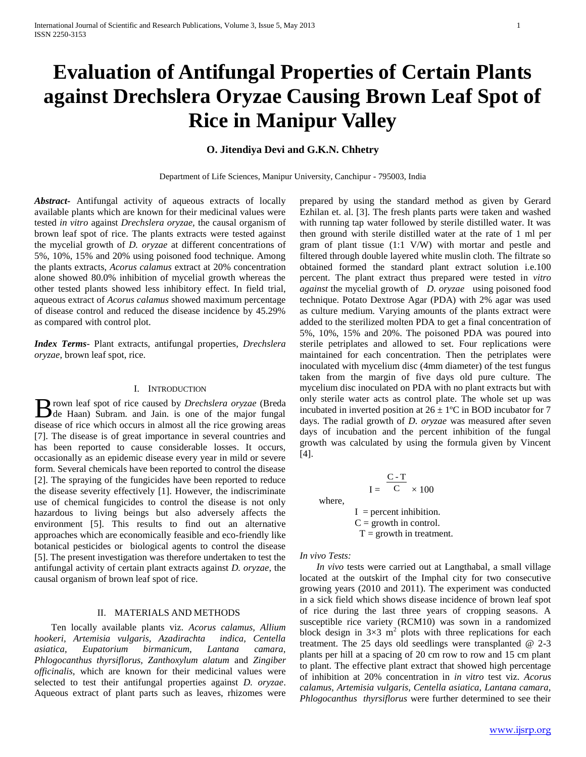# **Evaluation of Antifungal Properties of Certain Plants against Drechslera Oryzae Causing Brown Leaf Spot of Rice in Manipur Valley**

# **O. Jitendiya Devi and G.K.N. Chhetry**

Department of Life Sciences, Manipur University, Canchipur - 795003, India

*Abstract***-** Antifungal activity of aqueous extracts of locally available plants which are known for their medicinal values were tested *in vitro* against *Drechslera oryzae,* the causal organism of brown leaf spot of rice. The plants extracts were tested against the mycelial growth of *D. oryzae* at different concentrations of 5%, 10%, 15% and 20% using poisoned food technique. Among the plants extracts, *Acorus calamus* extract at 20% concentration alone showed 80.0% inhibition of mycelial growth whereas the other tested plants showed less inhibitory effect. In field trial, aqueous extract of *Acorus calamus* showed maximum percentage of disease control and reduced the disease incidence by 45.29% as compared with control plot.

*Index Terms*- Plant extracts, antifungal properties, *Drechslera oryzae,* brown leaf spot, rice.

## I. INTRODUCTION

rown leaf spot of rice caused by *Drechslera oryzae* (Breda Brown leaf spot of rice caused by *Drechslera oryzae* (Breda de Haan) Subram. and Jain. is one of the major fungal disease of rice which occurs in almost all the rice growing areas [7]. The disease is of great importance in several countries and has been reported to cause considerable losses. It occurs, occasionally as an epidemic disease every year in mild or severe form. Several chemicals have been reported to control the disease [2]. The spraying of the fungicides have been reported to reduce the disease severity effectively [1]. However, the indiscriminate use of chemical fungicides to control the disease is not only hazardous to living beings but also adversely affects the environment [5]. This results to find out an alternative approaches which are economically feasible and eco-friendly like botanical pesticides or biological agents to control the disease [5]. The present investigation was therefore undertaken to test the antifungal activity of certain plant extracts against *D. oryzae*, the causal organism of brown leaf spot of rice.

## II. MATERIALS AND METHODS

 Ten locally available plants viz. *Acorus calamus, Allium hookeri, Artemisia vulgaris, Azadirachta indica, Centella asiatica, Eupatorium birmanicum, Lantana camara, Phlogocanthus thyrsiflorus, Zanthoxylum alatum* and *Zingiber officinalis,* which are known for their medicinal values were selected to test their antifungal properties against *D. oryzae*. Aqueous extract of plant parts such as leaves, rhizomes were

prepared by using the standard method as given by Gerard Ezhilan et. al. [3]. The fresh plants parts were taken and washed with running tap water followed by sterile distilled water. It was then ground with sterile distilled water at the rate of 1 ml per gram of plant tissue (1:1 V/W) with mortar and pestle and filtered through double layered white muslin cloth. The filtrate so obtained formed the standard plant extract solution i.e.100 percent. The plant extract thus prepared were tested in *vitro against* the mycelial growth of *D. oryzae* using poisoned food technique. Potato Dextrose Agar (PDA) with 2% agar was used as culture medium. Varying amounts of the plants extract were added to the sterilized molten PDA to get a final concentration of 5%, 10%, 15% and 20%. The poisoned PDA was poured into sterile petriplates and allowed to set. Four replications were maintained for each concentration. Then the petriplates were inoculated with mycelium disc (4mm diameter) of the test fungus taken from the margin of five days old pure culture. The mycelium disc inoculated on PDA with no plant extracts but with only sterile water acts as control plate. The whole set up was incubated in inverted position at  $26 \pm 1$ °C in BOD incubator for 7 days. The radial growth of *D. oryzae* was measured after seven days of incubation and the percent inhibition of the fungal growth was calculated by using the formula given by Vincent [4].

where,  
\n
$$
I = \frac{C - T}{C} \times 100
$$
\nwhere,  
\n
$$
I =
$$
percent inhibition.  
\n
$$
C =
$$
growth in control.  
\n
$$
T =
$$
growth in treatment.

*In vivo Tests:*

 *In vivo* tests were carried out at Langthabal, a small village located at the outskirt of the Imphal city for two consecutive growing years (2010 and 2011). The experiment was conducted in a sick field which shows disease incidence of brown leaf spot of rice during the last three years of cropping seasons. A susceptible rice variety (RCM10) was sown in a randomized block design in  $3\times3$  m<sup>2</sup> plots with three replications for each treatment. The 25 days old seedlings were transplanted @ 2-3 plants per hill at a spacing of 20 cm row to row and 15 cm plant to plant. The effective plant extract that showed high percentage of inhibition at 20% concentration in *in vitro* test viz. *Acorus calamus, Artemisia vulgaris, Centella asiatica, Lantana camara, Phlogocanthus thyrsiflorus* were further determined to see their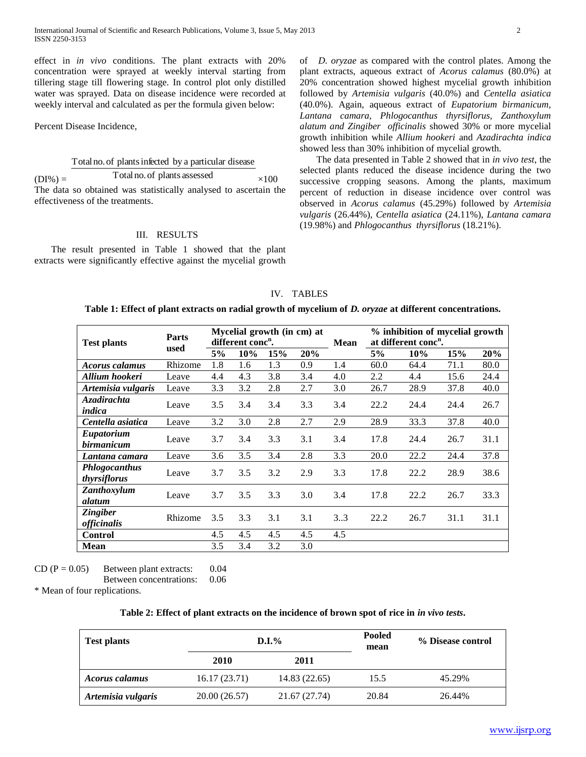effect in *in vivo* conditions. The plant extracts with 20% concentration were sprayed at weekly interval starting from tillering stage till flowering stage. In control plot only distilled water was sprayed. Data on disease incidence were recorded at weekly interval and calculated as per the formula given below:

Percent Disease Incidence,

#### Total no.of plantsinfected by a particular disease

 $(DI\%) =$ Total no.of plants assessed  $\times$ 100 The data so obtained was statistically analysed to ascertain the effectiveness of the treatments.

## III. RESULTS

 The result presented in Table 1 showed that the plant extracts were significantly effective against the mycelial growth

of *D. oryzae* as compared with the control plates. Among the plant extracts, aqueous extract of *Acorus calamus* (80.0%) at 20% concentration showed highest mycelial growth inhibition followed by *Artemisia vulgaris* (40.0%) and *Centella asiatica*  (40.0%). Again, aqueous extract of *Eupatorium birmanicum, Lantana camara, Phlogocanthus thyrsiflorus, Zanthoxylum alatum and Zingiber officinalis* showed 30% or more mycelial growth inhibition while *Allium hookeri* and *Azadirachta indica* showed less than 30% inhibition of mycelial growth.

 The data presented in Table 2 showed that in *in vivo test*, the selected plants reduced the disease incidence during the two successive cropping seasons. Among the plants, maximum percent of reduction in disease incidence over control was observed in *Acorus calamus* (45.29%) followed by *Artemisia vulgaris* (26.44%), *Centella asiatica* (24.11%), *Lantana camara*  (19.98%) and *Phlogocanthus thyrsiflorus* (18.21%).

| IV. TABLES                                                                                                      |
|-----------------------------------------------------------------------------------------------------------------|
| Table 1: Effect of plant extracts on radial growth of mycelium of <i>D. oryzae</i> at different concentrations. |

| <b>Test plants</b>                    | Parts<br>used | Mycelial growth (in cm) at<br>different conc <sup>n</sup> . |     |     |     | <b>Mean</b> | % inhibition of mycelial growth<br>at different conc <sup>n</sup> . |      |      |      |
|---------------------------------------|---------------|-------------------------------------------------------------|-----|-----|-----|-------------|---------------------------------------------------------------------|------|------|------|
|                                       |               | 5%                                                          | 10% | 15% | 20% |             | 5%                                                                  | 10%  | 15%  | 20%  |
| Acorus calamus                        | Rhizome       | 1.8                                                         | 1.6 | 1.3 | 0.9 | 1.4         | 60.0                                                                | 64.4 | 71.1 | 80.0 |
| Allium hookeri                        | Leave         | 4.4                                                         | 4.3 | 3.8 | 3.4 | 4.0         | 2.2                                                                 | 4.4  | 15.6 | 24.4 |
| Artemisia vulgaris                    | Leave         | 3.3                                                         | 3.2 | 2.8 | 2.7 | 3.0         | 26.7                                                                | 28.9 | 37.8 | 40.0 |
| Azadirachta<br>indica                 | Leave         | 3.5                                                         | 3.4 | 3.4 | 3.3 | 3.4         | 22.2                                                                | 24.4 | 24.4 | 26.7 |
| Centella asiatica                     | Leave         | 3.2                                                         | 3.0 | 2.8 | 2.7 | 2.9         | 28.9                                                                | 33.3 | 37.8 | 40.0 |
| Eupatorium<br>birmanicum              | Leave         | 3.7                                                         | 3.4 | 3.3 | 3.1 | 3.4         | 17.8                                                                | 24.4 | 26.7 | 31.1 |
| Lantana camara                        | Leave         | 3.6                                                         | 3.5 | 3.4 | 2.8 | 3.3         | 20.0                                                                | 22.2 | 24.4 | 37.8 |
| <b>Phlogocanthus</b><br>thyrsiflorus  | Leave         | 3.7                                                         | 3.5 | 3.2 | 2.9 | 3.3         | 17.8                                                                | 22.2 | 28.9 | 38.6 |
| Zanthoxylum<br>alatum                 | Leave         | 3.7                                                         | 3.5 | 3.3 | 3.0 | 3.4         | 17.8                                                                | 22.2 | 26.7 | 33.3 |
| <b>Zingiber</b><br><i>officinalis</i> | Rhizome       | 3.5                                                         | 3.3 | 3.1 | 3.1 | 33          | 22.2                                                                | 26.7 | 31.1 | 31.1 |
| Control                               |               | 4.5                                                         | 4.5 | 4.5 | 4.5 | 4.5         |                                                                     |      |      |      |
| <b>Mean</b>                           |               | 3.5                                                         | 3.4 | 3.2 | 3.0 |             |                                                                     |      |      |      |

CD  $(P = 0.05)$  Between plant extracts: 0.04

Between concentrations: 0.06

\* Mean of four replications.

# **Table 2: Effect of plant extracts on the incidence of brown spot of rice in** *in vivo tests***.**

| <b>Test plants</b> |               | D.I.%         | Pooled<br>mean | % Disease control |  |
|--------------------|---------------|---------------|----------------|-------------------|--|
|                    | 2010          | 2011          |                |                   |  |
| Acorus calamus     | 16.17(23.71)  | 14.83 (22.65) | 15.5           | 45.29%            |  |
| Artemisia vulgaris | 20.00 (26.57) | 21.67 (27.74) | 20.84          | 26.44%            |  |